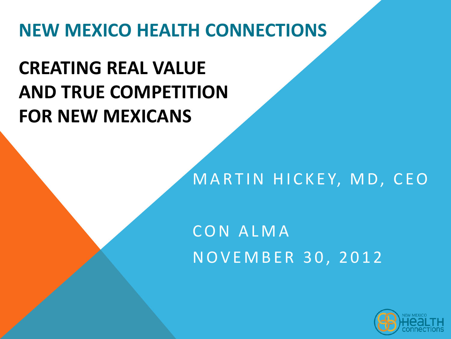## **NEW MEXICO HEALTH CONNECTIONS**

# **CREATING REAL VALUE AND TRUE COMPETITION FOR NEW MEXICANS**

#### MARTIN HICKEY, MD, CEO

## C O N A L M A N O V E M B E R 3 0 , 2 0 1 2

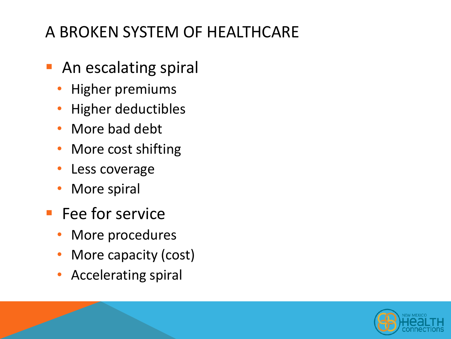## A BROKEN SYSTEM OF HEALTHCARE

- **An escalating spiral** 
	- Higher premiums
	- Higher deductibles
	- More bad debt
	- More cost shifting
	- Less coverage
	- More spiral
- **Fee for service** 
	- More procedures
	- More capacity (cost)
	- Accelerating spiral

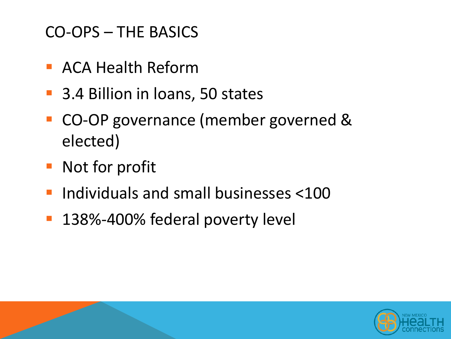#### CO-OPS – THE BASICS

- **ACA Health Reform**
- 3.4 Billion in loans, 50 states
- CO-OP governance (member governed & elected)
- **Not for profit**
- Individuals and small businesses <100
- 138%-400% federal poverty level

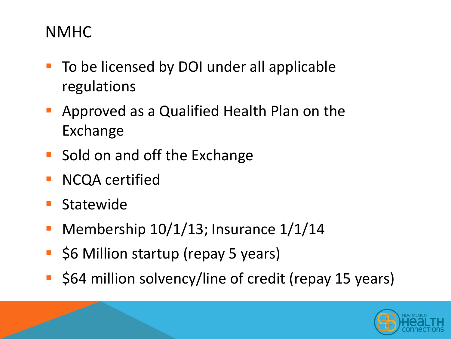#### NMHC

- To be licensed by DOI under all applicable regulations
- Approved as a Qualified Health Plan on the Exchange
- Sold on and off the Exchange
- **NCQA** certified
- Statewide
- Membership 10/1/13; Insurance 1/1/14
- \$6 Million startup (repay 5 years)
- \$64 million solvency/line of credit (repay 15 years)

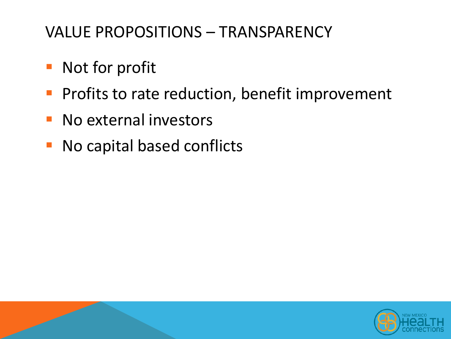## VALUE PROPOSITIONS – TRANSPARENCY

- **Not for profit**
- **Profits to rate reduction, benefit improvement**
- **No external investors**
- **No capital based conflicts**

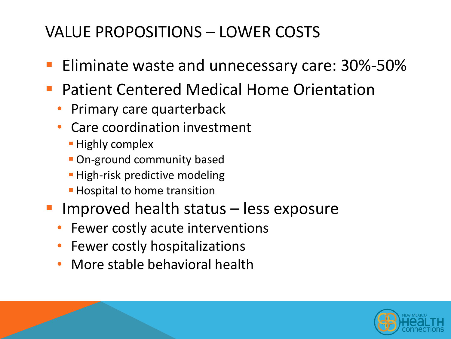## VALUE PROPOSITIONS – LOWER COSTS

- Eliminate waste and unnecessary care: 30%-50%
- Patient Centered Medical Home Orientation
	- Primary care quarterback
	- Care coordination investment
		- **Highly complex**
		- **On-ground community based**
		- **High-risk predictive modeling**
		- **Hospital to home transition**
- Improved health status less exposure
	- Fewer costly acute interventions
	- Fewer costly hospitalizations
	- More stable behavioral health

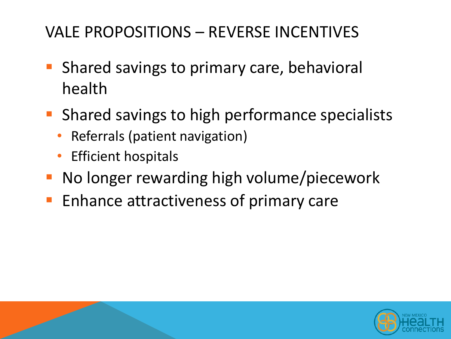## VALE PROPOSITIONS – REVERSE INCENTIVES

- **Shared savings to primary care, behavioral** health
- **Shared savings to high performance specialists** 
	- Referrals (patient navigation)
	- Efficient hospitals
- **No longer rewarding high volume/piecework**
- **Enhance attractiveness of primary care**